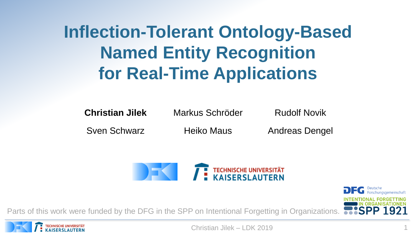# **Inflection-Tolerant Ontology-Based Named Entity Recognition for Real-Time Applications**

**Christian Jilek** Markus Schröder Rudolf Novik

Sven Schwarz **Heiko Maus** Andreas Dengel



Parts of this work were funded by the DFG in the SPP on Intentional Forgetting in Organizations.

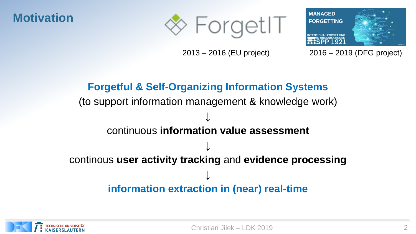



2013 – 2016 (EU project) 2016 – 2019 (DFG project)

### **Forgetful & Self-Organizing Information Systems** (to support information management & knowledge work) ↓ continuous **information value assessment** ↓ continous **user activity tracking** and **evidence processing** ↓ **information extraction in (near) real-time**

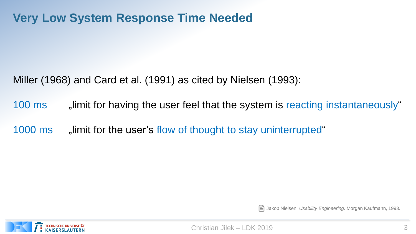### **Very Low System Response Time Needed**

Miller (1968) and Card et al. (1991) as cited by Nielsen (1993):

100 ms , limit for having the user feel that the system is reacting instantaneously "

1000 ms \_\_\_, limit for the user's flow of thought to stay uninterrupted "



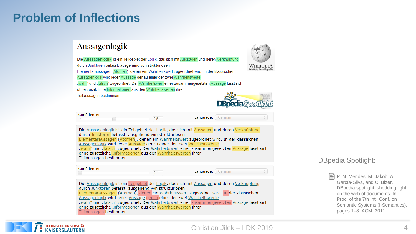### **Problem of Inflections**

#### Aussagenlogik

Die Aussagenlogik ist ein Teilgebiet der Logik, das sich mit Aussagen und deren Verknüpfung durch Junktoren befasst, ausgehend von strukturlosen



Die freie Enzyklopädie

Elementaraussagen (Atomen), denen ein Wahrheitswert zugeordnet wird. In der klassischen Aussagenlogik wird jeder Aussage genau einer der zwei Wahrheitswerte

"wahr" und "falsch" zugeordnet. Der Wahrheitswert einer zusammengesetzten Aussage lässt sich

ohne zusätzliche Informationen aus den Wahrheitswerten ihrer

Teilaussagen bestimmen.



| Confidence: |     |           |        |
|-------------|-----|-----------|--------|
|             | U.5 | Language: | German |

Die Aussagenlogik ist ein Teilgebiet der Logik, das sich mit Aussagen und deren Verknüpfung durch Junktoren befasst, ausgehend von strukturlosen Elementaraussagen (Atomen), denen ein Wahrheitswert zugeordnet wird. In der klassischen Aussagenlogik wird jeder Aussage genau einer der zwei Wahrheitswerte "wahr" und "falsch" zugeordnet. Der Wahrheitswert einer zusammengesetzten Aussage lässt sich ohne zusätzliche Informationen aus den Wahrheitswerten ihrer Teilaussagen bestimmen.

Confidence:

Language: German

Die Aussagenlogik ist ein Teilgebiet der Logik, das sich mit Aussagen und deren Verknüpfung durch Junktoren befasst, ausgehend von strukturlosen Elementaraussagen (Atomen), denen ein Wahrheitswert zugeordnet wird. In der klassischen Aussagenlogik wird jeder Aussage genau einer der zwei Wahrheitswerte "wahr" und "falsch" zugeordnet. Der Wahrheitswert einer zusammengesetzten Aussage lässt sich ohne zusätzliche Informationen aus den Wahrheitswerten ihrer Teilaussagen bestimmen.

#### DBpedia Spotlight:

P. N. Mendes, M. Jakob, A. García-Silva, and C. Bizer. DBpedia spotlight: shedding light on the web of documents. In Proc. of the 7th Int'l Conf. on Semantic Systems (I-Semantics), pages 1–8. ACM, 2011.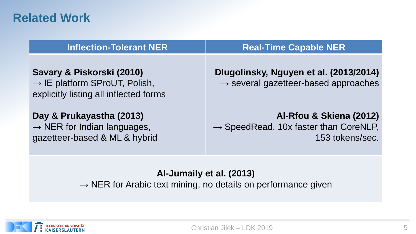### **Related Work**

| <b>Inflection-Tolerant NER</b>                                                                                   | <b>Real-Time Capable NER</b>                                                                    |
|------------------------------------------------------------------------------------------------------------------|-------------------------------------------------------------------------------------------------|
| Savary & Piskorski (2010)<br>$\rightarrow$ IE platform SProUT, Polish,<br>explicitly listing all inflected forms | Dlugolinsky, Nguyen et al. (2013/2014)<br>$\rightarrow$ several gazetteer-based approaches      |
| Day & Prukayastha (2013)<br>$\rightarrow$ NER for Indian languages,<br>gazetteer-based & ML & hybrid             | Al-Rfou & Skiena (2012)<br>$\rightarrow$ SpeedRead, 10x faster than CoreNLP,<br>153 tokens/sec. |

### **Al-Jumaily et al. (2013)**

 $\rightarrow$  NER for Arabic text mining, no details on performance given

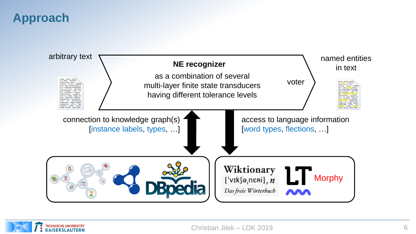### **Approach**



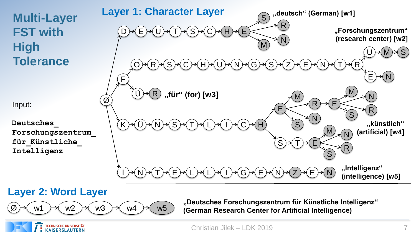## **Multi-Layer FST with High Tolerance**

Input:

**Deutsches\_ Forschungszentrum\_ für\_Künstliche\_ Intelligenz**

**MANAGD FORGETTING "deutsch" (German) [w1]**  $D) {\rightarrow} (E) {\rightarrow} (J) {\rightarrow} (T) {\rightarrow} (S) {\rightarrow} (C) {\rightarrow} (H)$ F  $Z\ni\in E\ni N$ E N M R S T $)\rightarrow$ (R U)→(M)→(S  $F$ **"Forschungszentrum" (research center) [w2]** Ü R **"für" (for) [w3]** I ) →( N ) →( T ) →( E ) →( L ) →( L ) →( I ) →( G ) →( E ) →( N ) →( Z **"Intelligenz" (intelligence) [w5]**  $\mathsf{K} \!\! \rightarrow \!\! (\mathsf{U}) \!\! \not\!\! \prec \!\! (\mathsf{N}) \!\! \not\!\! \prec \!\! (\mathsf{S}) \!\! \not\!\! \prec \!\! (\mathsf{I}) \!\! \not\!\! \prec \!\! (\mathsf{L}) \!\! \not\!\! \prec \!\! (\mathsf{I}) \!\! \not\!\! \prec \!\! (\mathsf{C}) \!\! \not\!\! \prec \!\! (\mathsf{H})$ E N M  $R) \rightarrow (E$ N M R S S  $\mathsf{S} \mathsf{P}(\mathsf{T}$ **"künstlich" (artificial) [w4] Layer 1: Character Layer**  $E) \rightarrow N$ O) →(R) →(S) →(C) →(H) →(U) →(N) →(G) →(S  $\mathsf{N} \mathord{\ni} (\mathsf{S} \mathord{\ni} (\mathsf{T} \mathord{\ni} (\mathsf{L}$ E N M R S

### **Layer 2: Word Layer**

**TECHNISCHE UNIVERSITÄT**<br>KAISERSLAUTERN



Ø

**"Deutsches Forschungszentrum für Künstliche Intelligenz" (German Research Center for Artificial Intelligence)**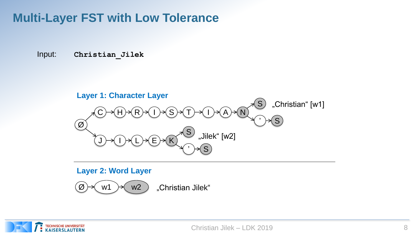### **Multi-Layer FST with Low Tolerance**

Input: **Christian\_Jilek**



#### **Layer 2: Word Layer**



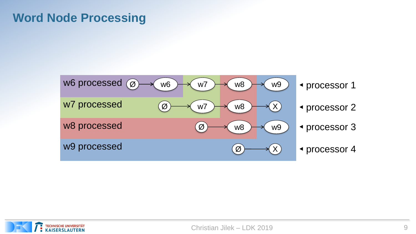### **Word Node Processing**



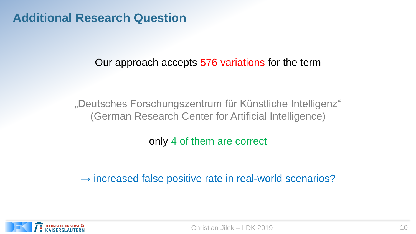### **Additional Research Question**

Our approach accepts 576 variations for the term

"Deutsches Forschungszentrum für Künstliche Intelligenz" (German Research Center for Artificial Intelligence)

only 4 of them are correct

 $\rightarrow$  increased false positive rate in real-world scenarios?

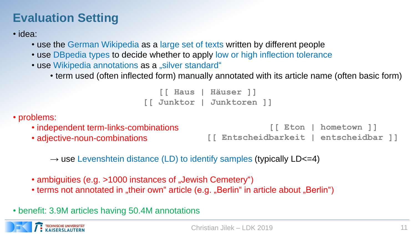### **Evaluation Setting**

• idea:

- use the German Wikipedia as a large set of texts written by different people
- use DBpedia types to decide whether to apply low or high inflection tolerance
- use Wikipedia annotations as a "silver standard"
	- term used (often inflected form) manually annotated with its article name (often basic form)

**[[ Haus | Häuser ]] [[ Junktor | Junktoren ]]**

• problems:

- independent term-links-combinations
	- adjective-noun-combinations

```
[[ Eton | hometown ]]
[[ Entscheidbarkeit | entscheidbar ]]
```
 $\rightarrow$  use Levenshtein distance (LD) to identify samples (typically LD<=4)

- ambiguities (e.g. >1000 instances of "Jewish Cemetery")
- terms not annotated in "their own" article (e.g. "Berlin" in article about "Berlin")

• benefit: 3.9M articles having 50.4M annotations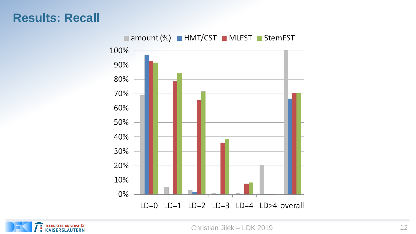### **Results: Recall**



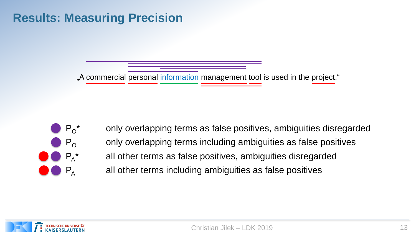### **Results: Measuring Precision**

"A commercial personal information management tool is used in the project."



only overlapping terms as false positives, ambiguities disregarded  $P_{\rm O}$  only overlapping terms including ambiguities as false positives all other terms as false positives, ambiguities disregarded  $P_A$  all other terms including ambiguities as false positives

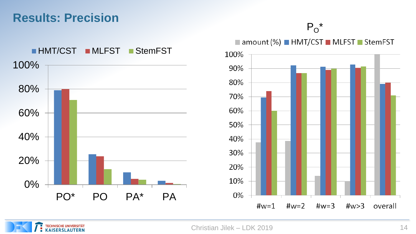### **Results: Precision**

 $P_{O}^*$ 





amount (%) HMT/CST MLFST StemFST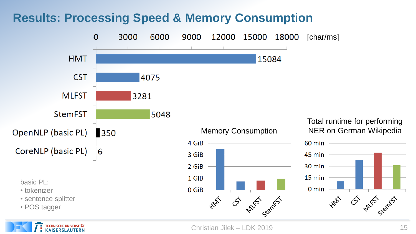### **Results: Processing Speed & Memory Consumption**

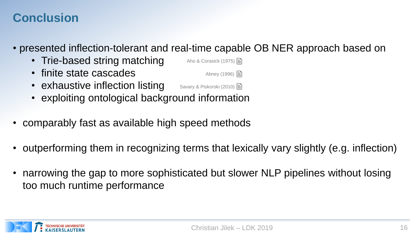### **Conclusion**

• presented inflection-tolerant and real-time capable OB NER approach based on

Abney (1996)  $\Box$ 

- Trie-based string matching Aho & Corasick (1975)  $\Box$
- finite state cascades
- exhaustive inflection listing Savary & Piskorski (2010)
- exploiting ontological background information
- comparably fast as available high speed methods
- outperforming them in recognizing terms that lexically vary slightly (e.g. inflection)
- narrowing the gap to more sophisticated but slower NLP pipelines without losing too much runtime performance

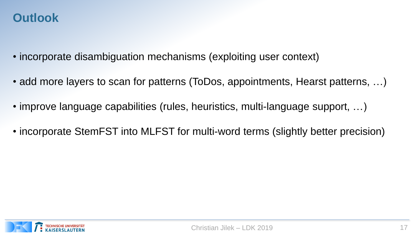### **Outlook**

- incorporate disambiguation mechanisms (exploiting user context)
- add more layers to scan for patterns (ToDos, appointments, Hearst patterns, ...)
- improve language capabilities (rules, heuristics, multi-language support, ...)
- incorporate StemFST into MLFST for multi-word terms (slightly better precision)